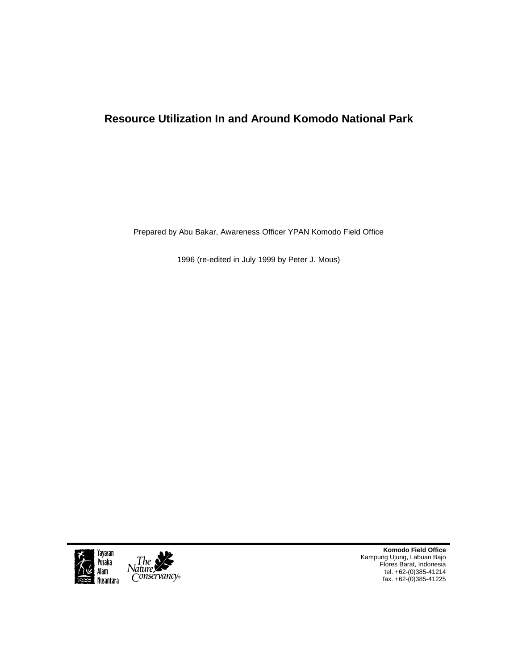# **Resource Utilization In and Around Komodo National Park**

Prepared by Abu Bakar, Awareness Officer YPAN Komodo Field Office

1996 (re-edited in July 1999 by Peter J. Mous)





**Komodo Field Office**  Kampung Ujung, Labuan Bajo Flores Barat, Indonesia tel. +62-(0)385-41214 fax. +62-(0)385-41225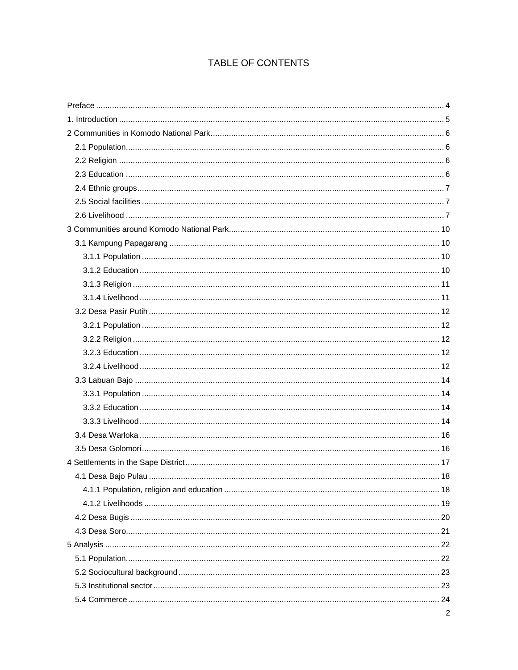# TABLE OF CONTENTS

| $\overline{2}$ |
|----------------|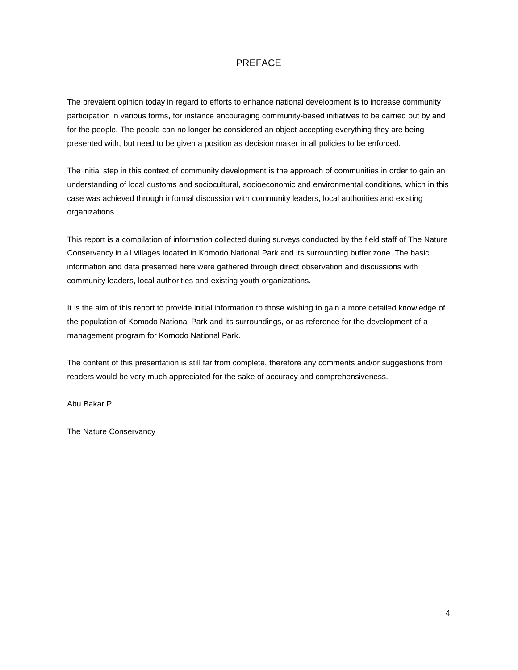# PREFACE

The prevalent opinion today in regard to efforts to enhance national development is to increase community participation in various forms, for instance encouraging community-based initiatives to be carried out by and for the people. The people can no longer be considered an object accepting everything they are being presented with, but need to be given a position as decision maker in all policies to be enforced.

The initial step in this context of community development is the approach of communities in order to gain an understanding of local customs and sociocultural, socioeconomic and environmental conditions, which in this case was achieved through informal discussion with community leaders, local authorities and existing organizations.

This report is a compilation of information collected during surveys conducted by the field staff of The Nature Conservancy in all villages located in Komodo National Park and its surrounding buffer zone. The basic information and data presented here were gathered through direct observation and discussions with community leaders, local authorities and existing youth organizations.

It is the aim of this report to provide initial information to those wishing to gain a more detailed knowledge of the population of Komodo National Park and its surroundings, or as reference for the development of a management program for Komodo National Park.

The content of this presentation is still far from complete, therefore any comments and/or suggestions from readers would be very much appreciated for the sake of accuracy and comprehensiveness.

Abu Bakar P.

The Nature Conservancy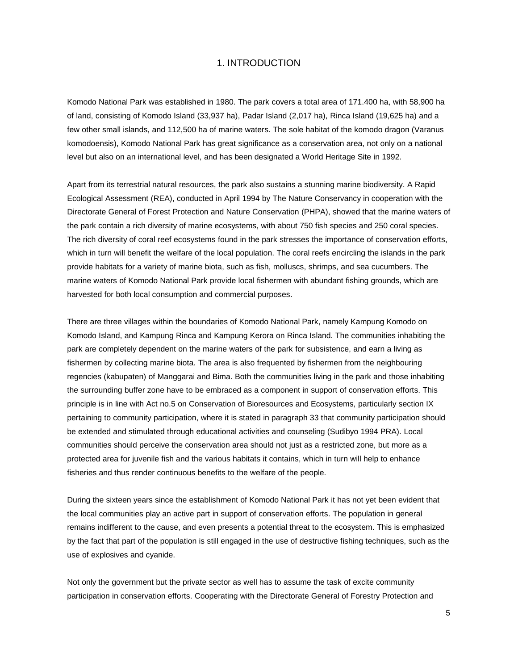# 1. INTRODUCTION

Komodo National Park was established in 1980. The park covers a total area of 171.400 ha, with 58,900 ha of land, consisting of Komodo Island (33,937 ha), Padar Island (2,017 ha), Rinca Island (19,625 ha) and a few other small islands, and 112,500 ha of marine waters. The sole habitat of the komodo dragon (Varanus komodoensis), Komodo National Park has great significance as a conservation area, not only on a national level but also on an international level, and has been designated a World Heritage Site in 1992.

Apart from its terrestrial natural resources, the park also sustains a stunning marine biodiversity. A Rapid Ecological Assessment (REA), conducted in April 1994 by The Nature Conservancy in cooperation with the Directorate General of Forest Protection and Nature Conservation (PHPA), showed that the marine waters of the park contain a rich diversity of marine ecosystems, with about 750 fish species and 250 coral species. The rich diversity of coral reef ecosystems found in the park stresses the importance of conservation efforts, which in turn will benefit the welfare of the local population. The coral reefs encircling the islands in the park provide habitats for a variety of marine biota, such as fish, molluscs, shrimps, and sea cucumbers. The marine waters of Komodo National Park provide local fishermen with abundant fishing grounds, which are harvested for both local consumption and commercial purposes.

There are three villages within the boundaries of Komodo National Park, namely Kampung Komodo on Komodo Island, and Kampung Rinca and Kampung Kerora on Rinca Island. The communities inhabiting the park are completely dependent on the marine waters of the park for subsistence, and earn a living as fishermen by collecting marine biota. The area is also frequented by fishermen from the neighbouring regencies (kabupaten) of Manggarai and Bima. Both the communities living in the park and those inhabiting the surrounding buffer zone have to be embraced as a component in support of conservation efforts. This principle is in line with Act no.5 on Conservation of Bioresources and Ecosystems, particularly section IX pertaining to community participation, where it is stated in paragraph 33 that community participation should be extended and stimulated through educational activities and counseling (Sudibyo 1994 PRA). Local communities should perceive the conservation area should not just as a restricted zone, but more as a protected area for juvenile fish and the various habitats it contains, which in turn will help to enhance fisheries and thus render continuous benefits to the welfare of the people.

During the sixteen years since the establishment of Komodo National Park it has not yet been evident that the local communities play an active part in support of conservation efforts. The population in general remains indifferent to the cause, and even presents a potential threat to the ecosystem. This is emphasized by the fact that part of the population is still engaged in the use of destructive fishing techniques, such as the use of explosives and cyanide.

Not only the government but the private sector as well has to assume the task of excite community participation in conservation efforts. Cooperating with the Directorate General of Forestry Protection and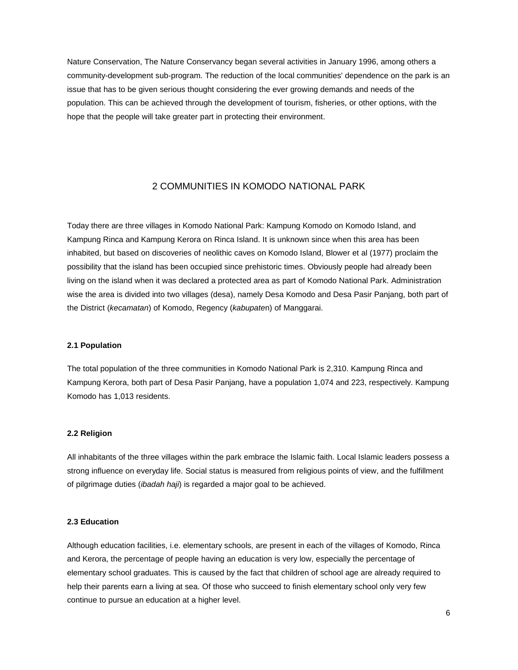Nature Conservation, The Nature Conservancy began several activities in January 1996, among others a community-development sub-program. The reduction of the local communities' dependence on the park is an issue that has to be given serious thought considering the ever growing demands and needs of the population. This can be achieved through the development of tourism, fisheries, or other options, with the hope that the people will take greater part in protecting their environment.

# 2 COMMUNITIES IN KOMODO NATIONAL PARK

Today there are three villages in Komodo National Park: Kampung Komodo on Komodo Island, and Kampung Rinca and Kampung Kerora on Rinca Island. It is unknown since when this area has been inhabited, but based on discoveries of neolithic caves on Komodo Island, Blower et al (1977) proclaim the possibility that the island has been occupied since prehistoric times. Obviously people had already been living on the island when it was declared a protected area as part of Komodo National Park. Administration wise the area is divided into two villages (desa), namely Desa Komodo and Desa Pasir Panjang, both part of the District (*kecamatan*) of Komodo, Regency (*kabupate*n) of Manggarai.

#### **2.1 Population**

The total population of the three communities in Komodo National Park is 2,310. Kampung Rinca and Kampung Kerora, both part of Desa Pasir Panjang, have a population 1,074 and 223, respectively. Kampung Komodo has 1,013 residents.

#### **2.2 Religion**

All inhabitants of the three villages within the park embrace the Islamic faith. Local Islamic leaders possess a strong influence on everyday life. Social status is measured from religious points of view, and the fulfillment of pilgrimage duties (*ibadah haji*) is regarded a major goal to be achieved.

# **2.3 Education**

Although education facilities, i.e. elementary schools, are present in each of the villages of Komodo, Rinca and Kerora, the percentage of people having an education is very low, especially the percentage of elementary school graduates. This is caused by the fact that children of school age are already required to help their parents earn a living at sea. Of those who succeed to finish elementary school only very few continue to pursue an education at a higher level.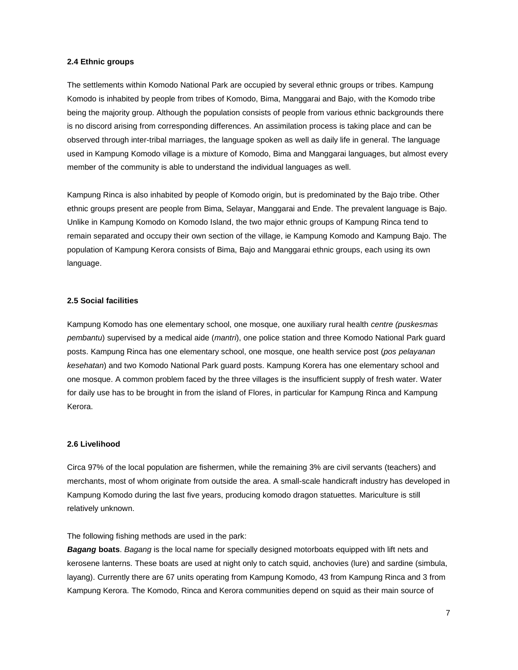#### **2.4 Ethnic groups**

The settlements within Komodo National Park are occupied by several ethnic groups or tribes. Kampung Komodo is inhabited by people from tribes of Komodo, Bima, Manggarai and Bajo, with the Komodo tribe being the majority group. Although the population consists of people from various ethnic backgrounds there is no discord arising from corresponding differences. An assimilation process is taking place and can be observed through inter-tribal marriages, the language spoken as well as daily life in general. The language used in Kampung Komodo village is a mixture of Komodo, Bima and Manggarai languages, but almost every member of the community is able to understand the individual languages as well.

Kampung Rinca is also inhabited by people of Komodo origin, but is predominated by the Bajo tribe. Other ethnic groups present are people from Bima, Selayar, Manggarai and Ende. The prevalent language is Bajo. Unlike in Kampung Komodo on Komodo Island, the two major ethnic groups of Kampung Rinca tend to remain separated and occupy their own section of the village, ie Kampung Komodo and Kampung Bajo. The population of Kampung Kerora consists of Bima, Bajo and Manggarai ethnic groups, each using its own language.

#### **2.5 Social facilities**

Kampung Komodo has one elementary school, one mosque, one auxiliary rural health *centre (puskesmas pembantu*) supervised by a medical aide (*mantri*), one police station and three Komodo National Park guard posts. Kampung Rinca has one elementary school, one mosque, one health service post (*pos pelayanan kesehatan*) and two Komodo National Park guard posts. Kampung Korera has one elementary school and one mosque. A common problem faced by the three villages is the insufficient supply of fresh water. Water for daily use has to be brought in from the island of Flores, in particular for Kampung Rinca and Kampung Kerora.

#### **2.6 Livelihood**

Circa 97% of the local population are fishermen, while the remaining 3% are civil servants (teachers) and merchants, most of whom originate from outside the area. A small-scale handicraft industry has developed in Kampung Komodo during the last five years, producing komodo dragon statuettes. Mariculture is still relatively unknown.

The following fishing methods are used in the park:

*Bagang* **boats**. *Bagang* is the local name for specially designed motorboats equipped with lift nets and kerosene lanterns. These boats are used at night only to catch squid, anchovies (lure) and sardine (simbula, layang). Currently there are 67 units operating from Kampung Komodo, 43 from Kampung Rinca and 3 from Kampung Kerora. The Komodo, Rinca and Kerora communities depend on squid as their main source of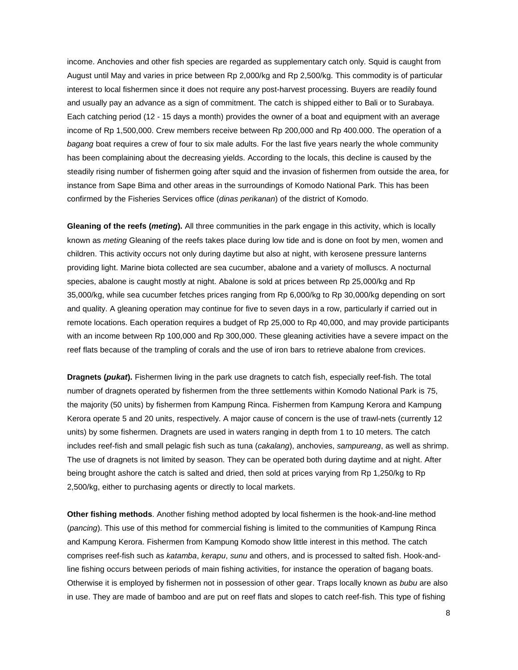income. Anchovies and other fish species are regarded as supplementary catch only. Squid is caught from August until May and varies in price between Rp 2,000/kg and Rp 2,500/kg. This commodity is of particular interest to local fishermen since it does not require any post-harvest processing. Buyers are readily found and usually pay an advance as a sign of commitment. The catch is shipped either to Bali or to Surabaya. Each catching period (12 - 15 days a month) provides the owner of a boat and equipment with an average income of Rp 1,500,000. Crew members receive between Rp 200,000 and Rp 400.000. The operation of a *bagang* boat requires a crew of four to six male adults. For the last five years nearly the whole community has been complaining about the decreasing yields. According to the locals, this decline is caused by the steadily rising number of fishermen going after squid and the invasion of fishermen from outside the area, for instance from Sape Bima and other areas in the surroundings of Komodo National Park. This has been confirmed by the Fisheries Services office (*dinas perikanan*) of the district of Komodo.

**Gleaning of the reefs (***meting***).** All three communities in the park engage in this activity, which is locally known as *meting* Gleaning of the reefs takes place during low tide and is done on foot by men, women and children. This activity occurs not only during daytime but also at night, with kerosene pressure lanterns providing light. Marine biota collected are sea cucumber, abalone and a variety of molluscs. A nocturnal species, abalone is caught mostly at night. Abalone is sold at prices between Rp 25,000/kg and Rp 35,000/kg, while sea cucumber fetches prices ranging from Rp 6,000/kg to Rp 30,000/kg depending on sort and quality. A gleaning operation may continue for five to seven days in a row, particularly if carried out in remote locations. Each operation requires a budget of Rp 25,000 to Rp 40,000, and may provide participants with an income between Rp 100,000 and Rp 300,000. These gleaning activities have a severe impact on the reef flats because of the trampling of corals and the use of iron bars to retrieve abalone from crevices.

**Dragnets (***pukat***).** Fishermen living in the park use dragnets to catch fish, especially reef-fish. The total number of dragnets operated by fishermen from the three settlements within Komodo National Park is 75, the majority (50 units) by fishermen from Kampung Rinca. Fishermen from Kampung Kerora and Kampung Kerora operate 5 and 20 units, respectively. A major cause of concern is the use of trawl-nets (currently 12 units) by some fishermen. Dragnets are used in waters ranging in depth from 1 to 10 meters. The catch includes reef-fish and small pelagic fish such as tuna (*cakalang*), anchovies, *sampureang*, as well as shrimp. The use of dragnets is not limited by season. They can be operated both during daytime and at night. After being brought ashore the catch is salted and dried, then sold at prices varying from Rp 1,250/kg to Rp 2,500/kg, either to purchasing agents or directly to local markets.

**Other fishing methods**. Another fishing method adopted by local fishermen is the hook-and-line method (*pancing*). This use of this method for commercial fishing is limited to the communities of Kampung Rinca and Kampung Kerora. Fishermen from Kampung Komodo show little interest in this method. The catch comprises reef-fish such as *katamba*, *kerapu*, *sunu* and others, and is processed to salted fish. Hook-andline fishing occurs between periods of main fishing activities, for instance the operation of bagang boats. Otherwise it is employed by fishermen not in possession of other gear. Traps locally known as *bubu* are also in use. They are made of bamboo and are put on reef flats and slopes to catch reef-fish. This type of fishing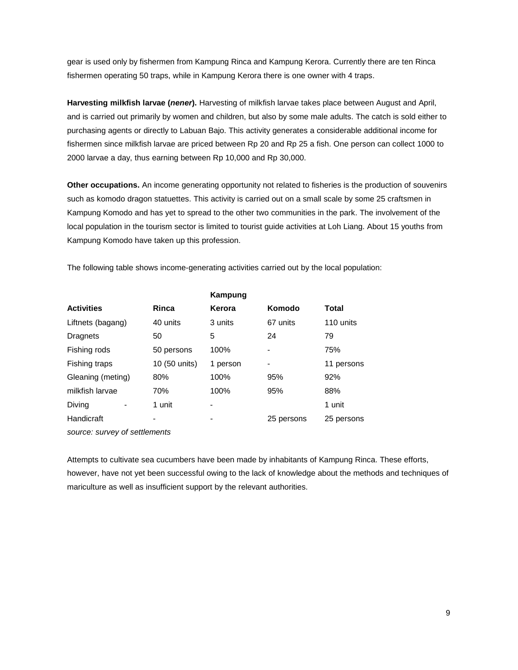gear is used only by fishermen from Kampung Rinca and Kampung Kerora. Currently there are ten Rinca fishermen operating 50 traps, while in Kampung Kerora there is one owner with 4 traps.

**Harvesting milkfish larvae (***nener***).** Harvesting of milkfish larvae takes place between August and April, and is carried out primarily by women and children, but also by some male adults. The catch is sold either to purchasing agents or directly to Labuan Bajo. This activity generates a considerable additional income for fishermen since milkfish larvae are priced between Rp 20 and Rp 25 a fish. One person can collect 1000 to 2000 larvae a day, thus earning between Rp 10,000 and Rp 30,000.

**Other occupations.** An income generating opportunity not related to fisheries is the production of souvenirs such as komodo dragon statuettes. This activity is carried out on a small scale by some 25 craftsmen in Kampung Komodo and has yet to spread to the other two communities in the park. The involvement of the local population in the tourism sector is limited to tourist guide activities at Loh Liang. About 15 youths from Kampung Komodo have taken up this profession.

The following table shows income-generating activities carried out by the local population:

|                   |               | Kampung  |                              |            |
|-------------------|---------------|----------|------------------------------|------------|
| <b>Activities</b> | Rinca         | Kerora   | Komodo                       | Total      |
| Liftnets (bagang) | 40 units      | 3 units  | 67 units                     | 110 units  |
| Dragnets          | 50            | 5        | 24                           | 79         |
| Fishing rods      | 50 persons    | 100%     | $\overline{\phantom{a}}$     | 75%        |
| Fishing traps     | 10 (50 units) | 1 person | $\qquad \qquad \blacksquare$ | 11 persons |
| Gleaning (meting) | 80%           | 100%     | 95%                          | 92%        |
| milkfish larvae   | 70%           | 100%     | 95%                          | 88%        |
| Diving            | 1 unit        | -        |                              | 1 unit     |
| Handicraft        |               |          | 25 persons                   | 25 persons |
|                   |               |          |                              |            |

*source: survey of settlements* 

Attempts to cultivate sea cucumbers have been made by inhabitants of Kampung Rinca. These efforts, however, have not yet been successful owing to the lack of knowledge about the methods and techniques of mariculture as well as insufficient support by the relevant authorities.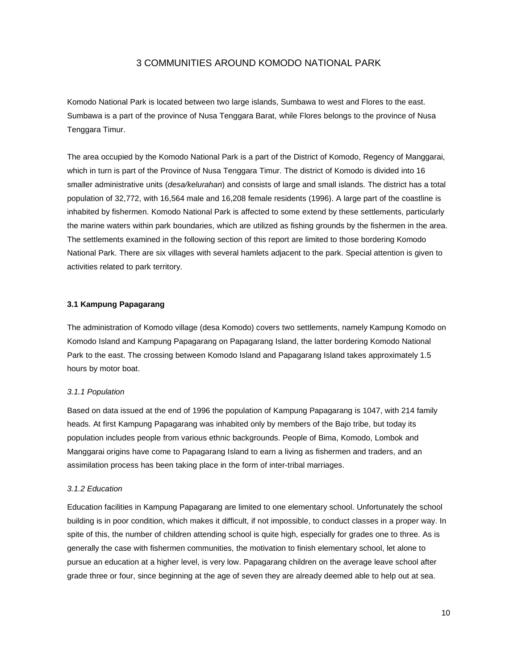# 3 COMMUNITIES AROUND KOMODO NATIONAL PARK

Komodo National Park is located between two large islands, Sumbawa to west and Flores to the east. Sumbawa is a part of the province of Nusa Tenggara Barat, while Flores belongs to the province of Nusa Tenggara Timur.

The area occupied by the Komodo National Park is a part of the District of Komodo, Regency of Manggarai, which in turn is part of the Province of Nusa Tenggara Timur. The district of Komodo is divided into 16 smaller administrative units (*desa/kelurahan*) and consists of large and small islands. The district has a total population of 32,772, with 16,564 male and 16,208 female residents (1996). A large part of the coastline is inhabited by fishermen. Komodo National Park is affected to some extend by these settlements, particularly the marine waters within park boundaries, which are utilized as fishing grounds by the fishermen in the area. The settlements examined in the following section of this report are limited to those bordering Komodo National Park. There are six villages with several hamlets adjacent to the park. Special attention is given to activities related to park territory.

# **3.1 Kampung Papagarang**

The administration of Komodo village (desa Komodo) covers two settlements, namely Kampung Komodo on Komodo Island and Kampung Papagarang on Papagarang Island, the latter bordering Komodo National Park to the east. The crossing between Komodo Island and Papagarang Island takes approximately 1.5 hours by motor boat.

#### *3.1.1 Population*

Based on data issued at the end of 1996 the population of Kampung Papagarang is 1047, with 214 family heads. At first Kampung Papagarang was inhabited only by members of the Bajo tribe, but today its population includes people from various ethnic backgrounds. People of Bima, Komodo, Lombok and Manggarai origins have come to Papagarang Island to earn a living as fishermen and traders, and an assimilation process has been taking place in the form of inter-tribal marriages.

#### *3.1.2 Education*

Education facilities in Kampung Papagarang are limited to one elementary school. Unfortunately the school building is in poor condition, which makes it difficult, if not impossible, to conduct classes in a proper way. In spite of this, the number of children attending school is quite high, especially for grades one to three. As is generally the case with fishermen communities, the motivation to finish elementary school, let alone to pursue an education at a higher level, is very low. Papagarang children on the average leave school after grade three or four, since beginning at the age of seven they are already deemed able to help out at sea.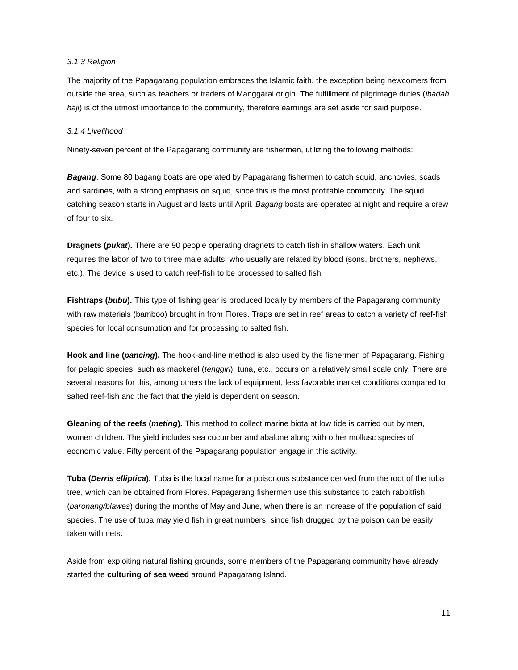#### *3.1.3 Religion*

The majority of the Papagarang population embraces the Islamic faith, the exception being newcomers from outside the area, such as teachers or traders of Manggarai origin. The fulfillment of pilgrimage duties (*ibadah haji*) is of the utmost importance to the community, therefore earnings are set aside for said purpose.

## *3.1.4 Livelihood*

Ninety-seven percent of the Papagarang community are fishermen, utilizing the following methods:

*Bagang*. Some 80 bagang boats are operated by Papagarang fishermen to catch squid, anchovies, scads and sardines, with a strong emphasis on squid, since this is the most profitable commodity. The squid catching season starts in August and lasts until April. *Bagang* boats are operated at night and require a crew of four to six.

**Dragnets (***pukat***).** There are 90 people operating dragnets to catch fish in shallow waters. Each unit requires the labor of two to three male adults, who usually are related by blood (sons, brothers, nephews, etc.). The device is used to catch reef-fish to be processed to salted fish.

**Fishtraps (***bubu***).** This type of fishing gear is produced locally by members of the Papagarang community with raw materials (bamboo) brought in from Flores. Traps are set in reef areas to catch a variety of reef-fish species for local consumption and for processing to salted fish.

**Hook and line (***pancing***).** The hook-and-line method is also used by the fishermen of Papagarang. Fishing for pelagic species, such as mackerel (*tenggiri*), tuna, etc., occurs on a relatively small scale only. There are several reasons for this, among others the lack of equipment, less favorable market conditions compared to salted reef-fish and the fact that the yield is dependent on season.

**Gleaning of the reefs (***meting***).** This method to collect marine biota at low tide is carried out by men, women children. The yield includes sea cucumber and abalone along with other mollusc species of economic value. Fifty percent of the Papagarang population engage in this activity.

**Tuba (***Derris elliptica***).** Tuba is the local name for a poisonous substance derived from the root of the tuba tree, which can be obtained from Flores. Papagarang fishermen use this substance to catch rabbitfish (*baronang/blawes*) during the months of May and June, when there is an increase of the population of said species. The use of tuba may yield fish in great numbers, since fish drugged by the poison can be easily taken with nets.

Aside from exploiting natural fishing grounds, some members of the Papagarang community have already started the **culturing of sea weed** around Papagarang Island.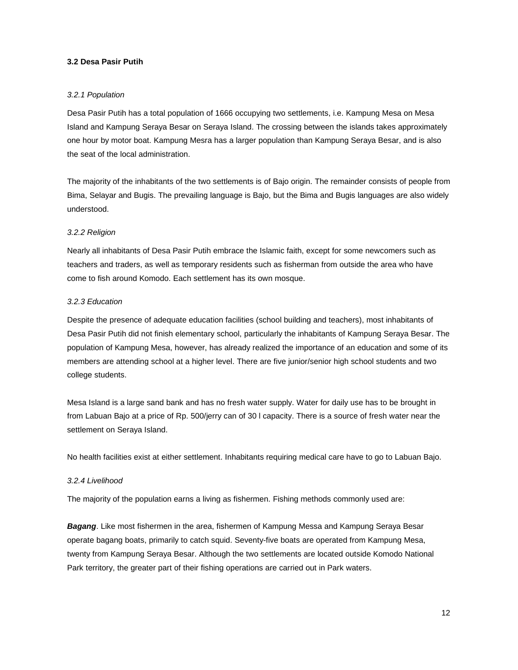# **3.2 Desa Pasir Putih**

#### *3.2.1 Population*

Desa Pasir Putih has a total population of 1666 occupying two settlements, i.e. Kampung Mesa on Mesa Island and Kampung Seraya Besar on Seraya Island. The crossing between the islands takes approximately one hour by motor boat. Kampung Mesra has a larger population than Kampung Seraya Besar, and is also the seat of the local administration.

The majority of the inhabitants of the two settlements is of Bajo origin. The remainder consists of people from Bima, Selayar and Bugis. The prevailing language is Bajo, but the Bima and Bugis languages are also widely understood.

# *3.2.2 Religion*

Nearly all inhabitants of Desa Pasir Putih embrace the Islamic faith, except for some newcomers such as teachers and traders, as well as temporary residents such as fisherman from outside the area who have come to fish around Komodo. Each settlement has its own mosque.

#### *3.2.3 Education*

Despite the presence of adequate education facilities (school building and teachers), most inhabitants of Desa Pasir Putih did not finish elementary school, particularly the inhabitants of Kampung Seraya Besar. The population of Kampung Mesa, however, has already realized the importance of an education and some of its members are attending school at a higher level. There are five junior/senior high school students and two college students.

Mesa Island is a large sand bank and has no fresh water supply. Water for daily use has to be brought in from Labuan Bajo at a price of Rp. 500/jerry can of 30 l capacity. There is a source of fresh water near the settlement on Seraya Island.

No health facilities exist at either settlement. Inhabitants requiring medical care have to go to Labuan Bajo.

#### *3.2.4 Livelihood*

The majority of the population earns a living as fishermen. Fishing methods commonly used are:

*Bagang*. Like most fishermen in the area, fishermen of Kampung Messa and Kampung Seraya Besar operate bagang boats, primarily to catch squid. Seventy-five boats are operated from Kampung Mesa, twenty from Kampung Seraya Besar. Although the two settlements are located outside Komodo National Park territory, the greater part of their fishing operations are carried out in Park waters.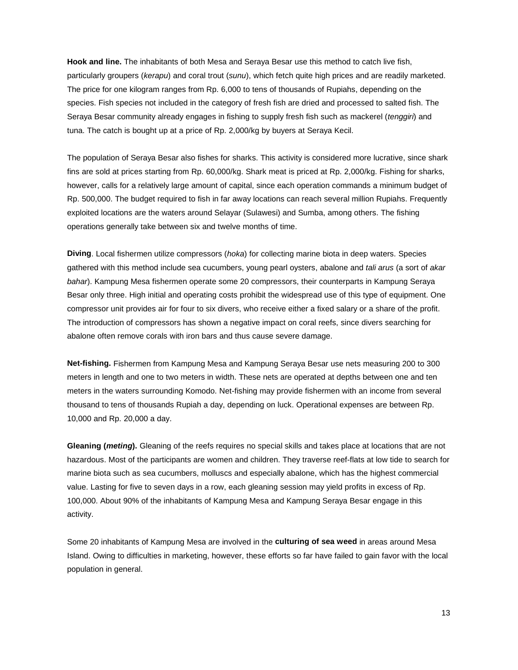**Hook and line.** The inhabitants of both Mesa and Seraya Besar use this method to catch live fish, particularly groupers (*kerapu*) and coral trout (*sunu*), which fetch quite high prices and are readily marketed. The price for one kilogram ranges from Rp. 6,000 to tens of thousands of Rupiahs, depending on the species. Fish species not included in the category of fresh fish are dried and processed to salted fish. The Seraya Besar community already engages in fishing to supply fresh fish such as mackerel (*tenggiri*) and tuna. The catch is bought up at a price of Rp. 2,000/kg by buyers at Seraya Kecil.

The population of Seraya Besar also fishes for sharks. This activity is considered more lucrative, since shark fins are sold at prices starting from Rp. 60,000/kg. Shark meat is priced at Rp. 2,000/kg. Fishing for sharks, however, calls for a relatively large amount of capital, since each operation commands a minimum budget of Rp. 500,000. The budget required to fish in far away locations can reach several million Rupiahs. Frequently exploited locations are the waters around Selayar (Sulawesi) and Sumba, among others. The fishing operations generally take between six and twelve months of time.

**Diving**. Local fishermen utilize compressors (*hoka*) for collecting marine biota in deep waters. Species gathered with this method include sea cucumbers, young pearl oysters, abalone and *tali arus* (a sort of *akar bahar*). Kampung Mesa fishermen operate some 20 compressors, their counterparts in Kampung Seraya Besar only three. High initial and operating costs prohibit the widespread use of this type of equipment. One compressor unit provides air for four to six divers, who receive either a fixed salary or a share of the profit. The introduction of compressors has shown a negative impact on coral reefs, since divers searching for abalone often remove corals with iron bars and thus cause severe damage.

**Net-fishing.** Fishermen from Kampung Mesa and Kampung Seraya Besar use nets measuring 200 to 300 meters in length and one to two meters in width. These nets are operated at depths between one and ten meters in the waters surrounding Komodo. Net-fishing may provide fishermen with an income from several thousand to tens of thousands Rupiah a day, depending on luck. Operational expenses are between Rp. 10,000 and Rp. 20,000 a day.

**Gleaning (***meting***).** Gleaning of the reefs requires no special skills and takes place at locations that are not hazardous. Most of the participants are women and children. They traverse reef-flats at low tide to search for marine biota such as sea cucumbers, molluscs and especially abalone, which has the highest commercial value. Lasting for five to seven days in a row, each gleaning session may yield profits in excess of Rp. 100,000. About 90% of the inhabitants of Kampung Mesa and Kampung Seraya Besar engage in this activity.

Some 20 inhabitants of Kampung Mesa are involved in the **culturing of sea weed** in areas around Mesa Island. Owing to difficulties in marketing, however, these efforts so far have failed to gain favor with the local population in general.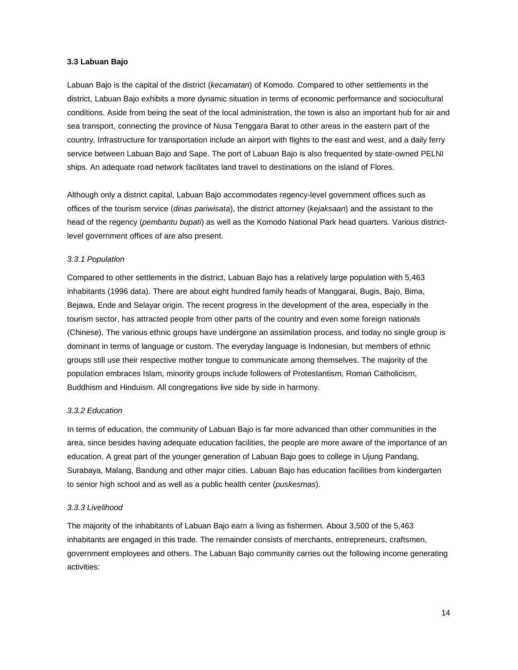#### **3.3 Labuan Bajo**

Labuan Bajo is the capital of the district (*kecamatan*) of Komodo. Compared to other settlements in the district, Labuan Bajo exhibits a more dynamic situation in terms of economic performance and sociocultural conditions. Aside from being the seat of the local administration, the town is also an important hub for air and sea transport, connecting the province of Nusa Tenggara Barat to other areas in the eastern part of the country. Infrastructure for transportation include an airport with flights to the east and west, and a daily ferry service between Labuan Bajo and Sape. The port of Labuan Bajo is also frequented by state-owned PELNI ships. An adequate road network facilitates land travel to destinations on the island of Flores.

Although only a district capital, Labuan Bajo accommodates regency-level government offices such as offices of the tourism service (*dinas pariwisata*), the district attorney (*kejaksaan*) and the assistant to the head of the regency (*pembantu bupati*) as well as the Komodo National Park head quarters. Various districtlevel government offices of are also present.

#### *3.3.1 Population*

Compared to other settlements in the district, Labuan Bajo has a relatively large population with 5,463 inhabitants (1996 data). There are about eight hundred family heads of Manggarai, Bugis, Bajo, Bima, Bejawa, Ende and Selayar origin. The recent progress in the development of the area, especially in the tourism sector, has attracted people from other parts of the country and even some foreign nationals (Chinese). The various ethnic groups have undergone an assimilation process, and today no single group is dominant in terms of language or custom. The everyday language is Indonesian, but members of ethnic groups still use their respective mother tongue to communicate among themselves. The majority of the population embraces Islam, minority groups include followers of Protestantism, Roman Catholicism, Buddhism and Hinduism. All congregations live side by side in harmony.

#### *3.3.2 Education*

In terms of education, the community of Labuan Bajo is far more advanced than other communities in the area, since besides having adequate education facilities, the people are more aware of the importance of an education. A great part of the younger generation of Labuan Bajo goes to college in Ujung Pandang, Surabaya, Malang, Bandung and other major cities. Labuan Bajo has education facilities from kindergarten to senior high school and as well as a public health center (*puskesmas*).

#### *3.3.3 Livelihood*

The majority of the inhabitants of Labuan Bajo earn a living as fishermen. About 3,500 of the 5,463 inhabitants are engaged in this trade. The remainder consists of merchants, entrepreneurs, craftsmen, government employees and others. The Labuan Bajo community carries out the following income generating activities: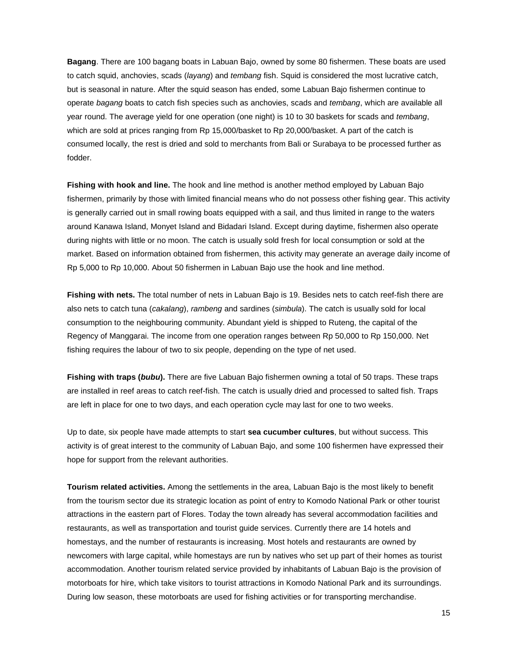**Bagang**. There are 100 bagang boats in Labuan Bajo, owned by some 80 fishermen. These boats are used to catch squid, anchovies, scads (*layang*) and *tembang* fish. Squid is considered the most lucrative catch, but is seasonal in nature. After the squid season has ended, some Labuan Bajo fishermen continue to operate *bagang* boats to catch fish species such as anchovies, scads and *tembang*, which are available all year round. The average yield for one operation (one night) is 10 to 30 baskets for scads and *tembang*, which are sold at prices ranging from Rp 15,000/basket to Rp 20,000/basket. A part of the catch is consumed locally, the rest is dried and sold to merchants from Bali or Surabaya to be processed further as fodder.

**Fishing with hook and line.** The hook and line method is another method employed by Labuan Bajo fishermen, primarily by those with limited financial means who do not possess other fishing gear. This activity is generally carried out in small rowing boats equipped with a sail, and thus limited in range to the waters around Kanawa Island, Monyet Island and Bidadari Island. Except during daytime, fishermen also operate during nights with little or no moon. The catch is usually sold fresh for local consumption or sold at the market. Based on information obtained from fishermen, this activity may generate an average daily income of Rp 5,000 to Rp 10,000. About 50 fishermen in Labuan Bajo use the hook and line method.

**Fishing with nets.** The total number of nets in Labuan Bajo is 19. Besides nets to catch reef-fish there are also nets to catch tuna (*cakalang*), *rambeng* and sardines (*simbula*). The catch is usually sold for local consumption to the neighbouring community. Abundant yield is shipped to Ruteng, the capital of the Regency of Manggarai. The income from one operation ranges between Rp 50,000 to Rp 150,000. Net fishing requires the labour of two to six people, depending on the type of net used.

**Fishing with traps (***bubu***).** There are five Labuan Bajo fishermen owning a total of 50 traps. These traps are installed in reef areas to catch reef-fish. The catch is usually dried and processed to salted fish. Traps are left in place for one to two days, and each operation cycle may last for one to two weeks.

Up to date, six people have made attempts to start **sea cucumber cultures**, but without success. This activity is of great interest to the community of Labuan Bajo, and some 100 fishermen have expressed their hope for support from the relevant authorities.

**Tourism related activities.** Among the settlements in the area, Labuan Bajo is the most likely to benefit from the tourism sector due its strategic location as point of entry to Komodo National Park or other tourist attractions in the eastern part of Flores. Today the town already has several accommodation facilities and restaurants, as well as transportation and tourist guide services. Currently there are 14 hotels and homestays, and the number of restaurants is increasing. Most hotels and restaurants are owned by newcomers with large capital, while homestays are run by natives who set up part of their homes as tourist accommodation. Another tourism related service provided by inhabitants of Labuan Bajo is the provision of motorboats for hire, which take visitors to tourist attractions in Komodo National Park and its surroundings. During low season, these motorboats are used for fishing activities or for transporting merchandise.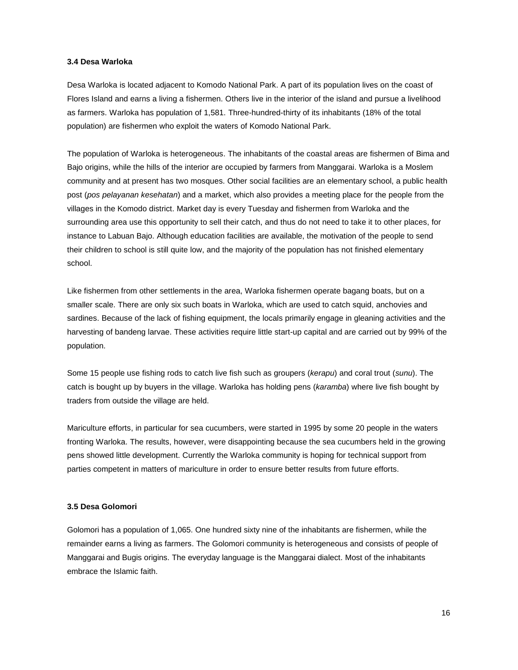# **3.4 Desa Warloka**

Desa Warloka is located adjacent to Komodo National Park. A part of its population lives on the coast of Flores Island and earns a living a fishermen. Others live in the interior of the island and pursue a livelihood as farmers. Warloka has population of 1,581. Three-hundred-thirty of its inhabitants (18% of the total population) are fishermen who exploit the waters of Komodo National Park.

The population of Warloka is heterogeneous. The inhabitants of the coastal areas are fishermen of Bima and Bajo origins, while the hills of the interior are occupied by farmers from Manggarai. Warloka is a Moslem community and at present has two mosques. Other social facilities are an elementary school, a public health post (*pos pelayanan kesehatan*) and a market, which also provides a meeting place for the people from the villages in the Komodo district. Market day is every Tuesday and fishermen from Warloka and the surrounding area use this opportunity to sell their catch, and thus do not need to take it to other places, for instance to Labuan Bajo. Although education facilities are available, the motivation of the people to send their children to school is still quite low, and the majority of the population has not finished elementary school.

Like fishermen from other settlements in the area, Warloka fishermen operate bagang boats, but on a smaller scale. There are only six such boats in Warloka, which are used to catch squid, anchovies and sardines. Because of the lack of fishing equipment, the locals primarily engage in gleaning activities and the harvesting of bandeng larvae. These activities require little start-up capital and are carried out by 99% of the population.

Some 15 people use fishing rods to catch live fish such as groupers (*kerapu*) and coral trout (*sunu*). The catch is bought up by buyers in the village. Warloka has holding pens (*karamba*) where live fish bought by traders from outside the village are held.

Mariculture efforts, in particular for sea cucumbers, were started in 1995 by some 20 people in the waters fronting Warloka. The results, however, were disappointing because the sea cucumbers held in the growing pens showed little development. Currently the Warloka community is hoping for technical support from parties competent in matters of mariculture in order to ensure better results from future efforts.

#### **3.5 Desa Golomori**

Golomori has a population of 1,065. One hundred sixty nine of the inhabitants are fishermen, while the remainder earns a living as farmers. The Golomori community is heterogeneous and consists of people of Manggarai and Bugis origins. The everyday language is the Manggarai dialect. Most of the inhabitants embrace the Islamic faith.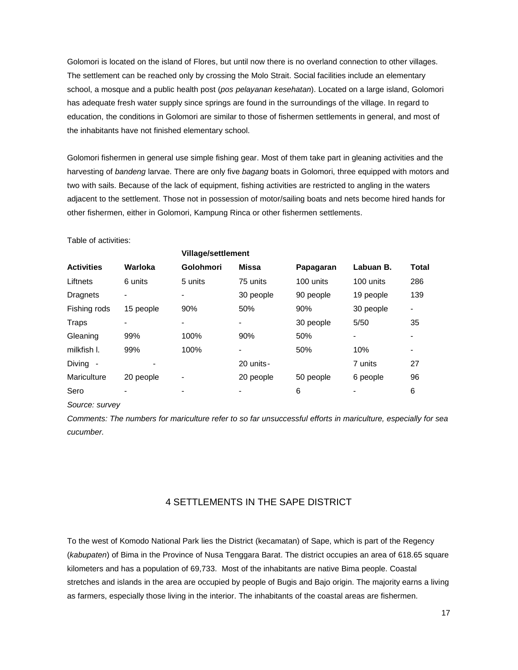Golomori is located on the island of Flores, but until now there is no overland connection to other villages. The settlement can be reached only by crossing the Molo Strait. Social facilities include an elementary school, a mosque and a public health post (*pos pelayanan kesehatan*). Located on a large island, Golomori has adequate fresh water supply since springs are found in the surroundings of the village. In regard to education, the conditions in Golomori are similar to those of fishermen settlements in general, and most of the inhabitants have not finished elementary school.

Golomori fishermen in general use simple fishing gear. Most of them take part in gleaning activities and the harvesting of *bandeng* larvae. There are only five *bagang* boats in Golomori, three equipped with motors and two with sails. Because of the lack of equipment, fishing activities are restricted to angling in the waters adjacent to the settlement. Those not in possession of motor/sailing boats and nets become hired hands for other fishermen, either in Golomori, Kampung Rinca or other fishermen settlements.

Table of activities:

|                   |           |                  | <b>Village/settlement</b> |           |           |                          |  |
|-------------------|-----------|------------------|---------------------------|-----------|-----------|--------------------------|--|
| <b>Activities</b> | Warloka   | <b>Golohmori</b> | <b>Missa</b>              | Papagaran | Labuan B. | Total                    |  |
| Liftnets          | 6 units   | 5 units          | 75 units                  | 100 units | 100 units | 286                      |  |
| Dragnets          |           |                  | 30 people                 | 90 people | 19 people | 139                      |  |
| Fishing rods      | 15 people | 90%              | 50%                       | 90%       | 30 people |                          |  |
| Traps             |           |                  |                           | 30 people | 5/50      | 35                       |  |
| Gleaning          | 99%       | 100%             | 90%                       | 50%       |           |                          |  |
| milkfish I.       | 99%       | 100%             |                           | 50%       | 10%       | $\overline{\phantom{a}}$ |  |
| Diving -          |           |                  | 20 units-                 |           | 7 units   | 27                       |  |
| Mariculture       | 20 people |                  | 20 people                 | 50 people | 6 people  | 96                       |  |
| Sero              |           |                  |                           | 6         |           | 6                        |  |
|                   |           |                  |                           |           |           |                          |  |

*Source: survey* 

*Comments: The numbers for mariculture refer to so far unsuccessful efforts in mariculture, especially for sea cucumber.* 

# 4 SETTLEMENTS IN THE SAPE DISTRICT

To the west of Komodo National Park lies the District (kecamatan) of Sape, which is part of the Regency (*kabupaten*) of Bima in the Province of Nusa Tenggara Barat. The district occupies an area of 618.65 square kilometers and has a population of 69,733. Most of the inhabitants are native Bima people. Coastal stretches and islands in the area are occupied by people of Bugis and Bajo origin. The majority earns a living as farmers, especially those living in the interior. The inhabitants of the coastal areas are fishermen.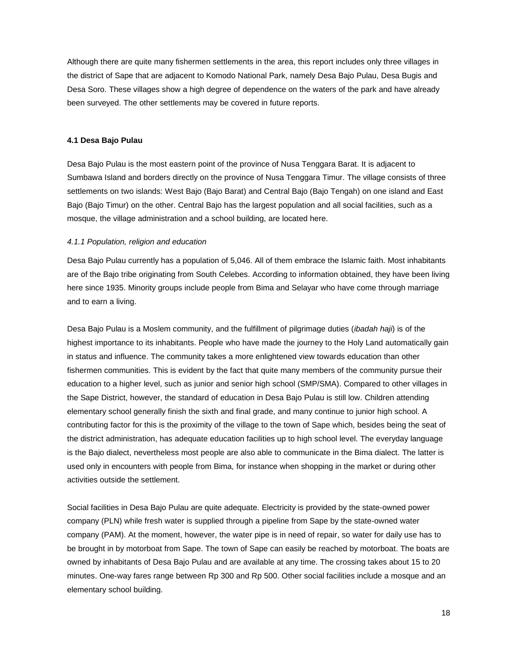Although there are quite many fishermen settlements in the area, this report includes only three villages in the district of Sape that are adjacent to Komodo National Park, namely Desa Bajo Pulau, Desa Bugis and Desa Soro. These villages show a high degree of dependence on the waters of the park and have already been surveyed. The other settlements may be covered in future reports.

### **4.1 Desa Bajo Pulau**

Desa Bajo Pulau is the most eastern point of the province of Nusa Tenggara Barat. It is adjacent to Sumbawa Island and borders directly on the province of Nusa Tenggara Timur. The village consists of three settlements on two islands: West Bajo (Bajo Barat) and Central Bajo (Bajo Tengah) on one island and East Bajo (Bajo Timur) on the other. Central Bajo has the largest population and all social facilities, such as a mosque, the village administration and a school building, are located here.

#### *4.1.1 Population, religion and education*

Desa Bajo Pulau currently has a population of 5,046. All of them embrace the Islamic faith. Most inhabitants are of the Bajo tribe originating from South Celebes. According to information obtained, they have been living here since 1935. Minority groups include people from Bima and Selayar who have come through marriage and to earn a living.

Desa Bajo Pulau is a Moslem community, and the fulfillment of pilgrimage duties (*ibadah haji*) is of the highest importance to its inhabitants. People who have made the journey to the Holy Land automatically gain in status and influence. The community takes a more enlightened view towards education than other fishermen communities. This is evident by the fact that quite many members of the community pursue their education to a higher level, such as junior and senior high school (SMP/SMA). Compared to other villages in the Sape District, however, the standard of education in Desa Bajo Pulau is still low. Children attending elementary school generally finish the sixth and final grade, and many continue to junior high school. A contributing factor for this is the proximity of the village to the town of Sape which, besides being the seat of the district administration, has adequate education facilities up to high school level. The everyday language is the Bajo dialect, nevertheless most people are also able to communicate in the Bima dialect. The latter is used only in encounters with people from Bima, for instance when shopping in the market or during other activities outside the settlement.

Social facilities in Desa Bajo Pulau are quite adequate. Electricity is provided by the state-owned power company (PLN) while fresh water is supplied through a pipeline from Sape by the state-owned water company (PAM). At the moment, however, the water pipe is in need of repair, so water for daily use has to be brought in by motorboat from Sape. The town of Sape can easily be reached by motorboat. The boats are owned by inhabitants of Desa Bajo Pulau and are available at any time. The crossing takes about 15 to 20 minutes. One-way fares range between Rp 300 and Rp 500. Other social facilities include a mosque and an elementary school building.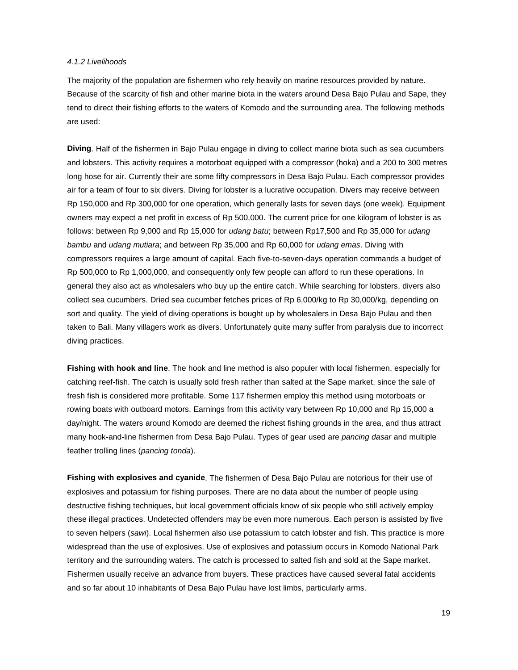#### *4.1.2 Livelihoods*

The majority of the population are fishermen who rely heavily on marine resources provided by nature. Because of the scarcity of fish and other marine biota in the waters around Desa Bajo Pulau and Sape, they tend to direct their fishing efforts to the waters of Komodo and the surrounding area. The following methods are used:

**Diving**. Half of the fishermen in Bajo Pulau engage in diving to collect marine biota such as sea cucumbers and lobsters. This activity requires a motorboat equipped with a compressor (hoka) and a 200 to 300 metres long hose for air. Currently their are some fifty compressors in Desa Bajo Pulau. Each compressor provides air for a team of four to six divers. Diving for lobster is a lucrative occupation. Divers may receive between Rp 150,000 and Rp 300,000 for one operation, which generally lasts for seven days (one week). Equipment owners may expect a net profit in excess of Rp 500,000. The current price for one kilogram of lobster is as follows: between Rp 9,000 and Rp 15,000 for *udang batu*; between Rp17,500 and Rp 35,000 for *udang bambu* and *udang mutiara*; and between Rp 35,000 and Rp 60,000 for *udang emas*. Diving with compressors requires a large amount of capital. Each five-to-seven-days operation commands a budget of Rp 500,000 to Rp 1,000,000, and consequently only few people can afford to run these operations. In general they also act as wholesalers who buy up the entire catch. While searching for lobsters, divers also collect sea cucumbers. Dried sea cucumber fetches prices of Rp 6,000/kg to Rp 30,000/kg, depending on sort and quality. The yield of diving operations is bought up by wholesalers in Desa Bajo Pulau and then taken to Bali. Many villagers work as divers. Unfortunately quite many suffer from paralysis due to incorrect diving practices.

**Fishing with hook and line**. The hook and line method is also populer with local fishermen, especially for catching reef-fish. The catch is usually sold fresh rather than salted at the Sape market, since the sale of fresh fish is considered more profitable. Some 117 fishermen employ this method using motorboats or rowing boats with outboard motors. Earnings from this activity vary between Rp 10,000 and Rp 15,000 a day/night. The waters around Komodo are deemed the richest fishing grounds in the area, and thus attract many hook-and-line fishermen from Desa Bajo Pulau. Types of gear used are *pancing dasar* and multiple feather trolling lines (*pancing tonda*).

**Fishing with explosives and cyanide**. The fishermen of Desa Bajo Pulau are notorious for their use of explosives and potassium for fishing purposes. There are no data about the number of people using destructive fishing techniques, but local government officials know of six people who still actively employ these illegal practices. Undetected offenders may be even more numerous. Each person is assisted by five to seven helpers (*sawi*). Local fishermen also use potassium to catch lobster and fish. This practice is more widespread than the use of explosives. Use of explosives and potassium occurs in Komodo National Park territory and the surrounding waters. The catch is processed to salted fish and sold at the Sape market. Fishermen usually receive an advance from buyers. These practices have caused several fatal accidents and so far about 10 inhabitants of Desa Bajo Pulau have lost limbs, particularly arms.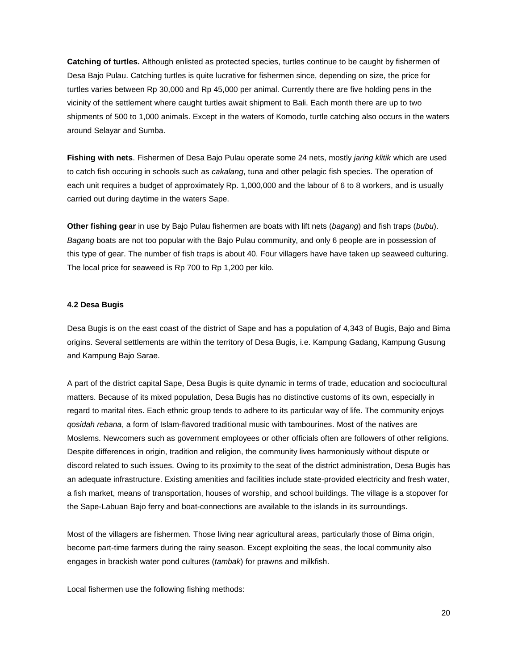**Catching of turtles.** Although enlisted as protected species, turtles continue to be caught by fishermen of Desa Bajo Pulau. Catching turtles is quite lucrative for fishermen since, depending on size, the price for turtles varies between Rp 30,000 and Rp 45,000 per animal. Currently there are five holding pens in the vicinity of the settlement where caught turtles await shipment to Bali. Each month there are up to two shipments of 500 to 1,000 animals. Except in the waters of Komodo, turtle catching also occurs in the waters around Selayar and Sumba.

**Fishing with nets**. Fishermen of Desa Bajo Pulau operate some 24 nets, mostly *jaring klitik* which are used to catch fish occuring in schools such as *cakalang*, tuna and other pelagic fish species. The operation of each unit requires a budget of approximately Rp. 1,000,000 and the labour of 6 to 8 workers, and is usually carried out during daytime in the waters Sape.

**Other fishing gear** in use by Bajo Pulau fishermen are boats with lift nets (*bagang*) and fish traps (*bubu*). *Bagang* boats are not too popular with the Bajo Pulau community, and only 6 people are in possession of this type of gear. The number of fish traps is about 40. Four villagers have have taken up seaweed culturing. The local price for seaweed is Rp 700 to Rp 1,200 per kilo.

#### **4.2 Desa Bugis**

Desa Bugis is on the east coast of the district of Sape and has a population of 4,343 of Bugis, Bajo and Bima origins. Several settlements are within the territory of Desa Bugis, i.e. Kampung Gadang, Kampung Gusung and Kampung Bajo Sarae.

A part of the district capital Sape, Desa Bugis is quite dynamic in terms of trade, education and sociocultural matters. Because of its mixed population, Desa Bugis has no distinctive customs of its own, especially in regard to marital rites. Each ethnic group tends to adhere to its particular way of life. The community enjoys *qosidah rebana*, a form of Islam-flavored traditional music with tambourines. Most of the natives are Moslems. Newcomers such as government employees or other officials often are followers of other religions. Despite differences in origin, tradition and religion, the community lives harmoniously without dispute or discord related to such issues. Owing to its proximity to the seat of the district administration, Desa Bugis has an adequate infrastructure. Existing amenities and facilities include state-provided electricity and fresh water, a fish market, means of transportation, houses of worship, and school buildings. The village is a stopover for the Sape-Labuan Bajo ferry and boat-connections are available to the islands in its surroundings.

Most of the villagers are fishermen. Those living near agricultural areas, particularly those of Bima origin, become part-time farmers during the rainy season. Except exploiting the seas, the local community also engages in brackish water pond cultures (*tambak*) for prawns and milkfish.

Local fishermen use the following fishing methods: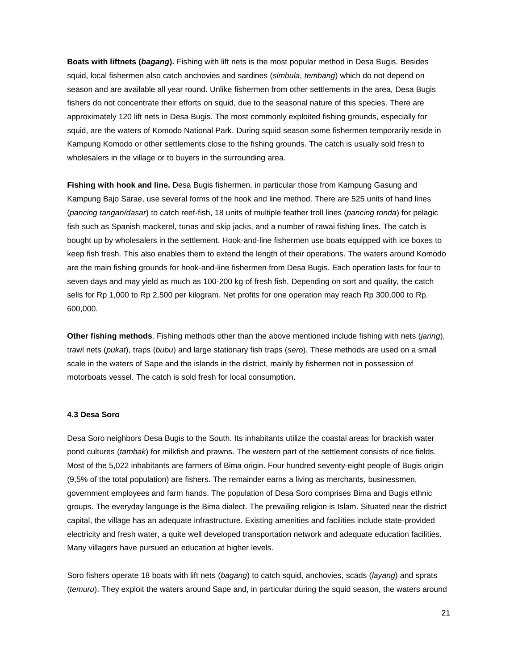**Boats with liftnets (***bagang***).** Fishing with lift nets is the most popular method in Desa Bugis. Besides squid, local fishermen also catch anchovies and sardines (*simbula*, *tembang*) which do not depend on season and are available all year round. Unlike fishermen from other settlements in the area, Desa Bugis fishers do not concentrate their efforts on squid, due to the seasonal nature of this species. There are approximately 120 lift nets in Desa Bugis. The most commonly exploited fishing grounds, especially for squid, are the waters of Komodo National Park. During squid season some fishermen temporarily reside in Kampung Komodo or other settlements close to the fishing grounds. The catch is usually sold fresh to wholesalers in the village or to buyers in the surrounding area.

**Fishing with hook and line.** Desa Bugis fishermen, in particular those from Kampung Gasung and Kampung Bajo Sarae, use several forms of the hook and line method. There are 525 units of hand lines (*pancing tangan/dasar*) to catch reef-fish, 18 units of multiple feather troll lines (*pancing tonda*) for pelagic fish such as Spanish mackerel, tunas and skip jacks, and a number of rawai fishing lines. The catch is bought up by wholesalers in the settlement. Hook-and-line fishermen use boats equipped with ice boxes to keep fish fresh. This also enables them to extend the length of their operations. The waters around Komodo are the main fishing grounds for hook-and-line fishermen from Desa Bugis. Each operation lasts for four to seven days and may yield as much as 100-200 kg of fresh fish. Depending on sort and quality, the catch sells for Rp 1,000 to Rp 2,500 per kilogram. Net profits for one operation may reach Rp 300,000 to Rp. 600,000.

**Other fishing methods**. Fishing methods other than the above mentioned include fishing with nets (*jaring*), trawl nets (*pukat*), traps (*bubu*) and large stationary fish traps (*sero*). These methods are used on a small scale in the waters of Sape and the islands in the district, mainly by fishermen not in possession of motorboats vessel. The catch is sold fresh for local consumption.

# **4.3 Desa Soro**

Desa Soro neighbors Desa Bugis to the South. Its inhabitants utilize the coastal areas for brackish water pond cultures (*tambak*) for milkfish and prawns. The western part of the settlement consists of rice fields. Most of the 5,022 inhabitants are farmers of Bima origin. Four hundred seventy-eight people of Bugis origin (9,5% of the total population) are fishers. The remainder earns a living as merchants, businessmen, government employees and farm hands. The population of Desa Soro comprises Bima and Bugis ethnic groups. The everyday language is the Bima dialect. The prevailing religion is Islam. Situated near the district capital, the village has an adequate infrastructure. Existing amenities and facilities include state-provided electricity and fresh water, a quite well developed transportation network and adequate education facilities. Many villagers have pursued an education at higher levels.

Soro fishers operate 18 boats with lift nets (*bagang*) to catch squid, anchovies, scads (*layang*) and sprats (*temuru*). They exploit the waters around Sape and, in particular during the squid season, the waters around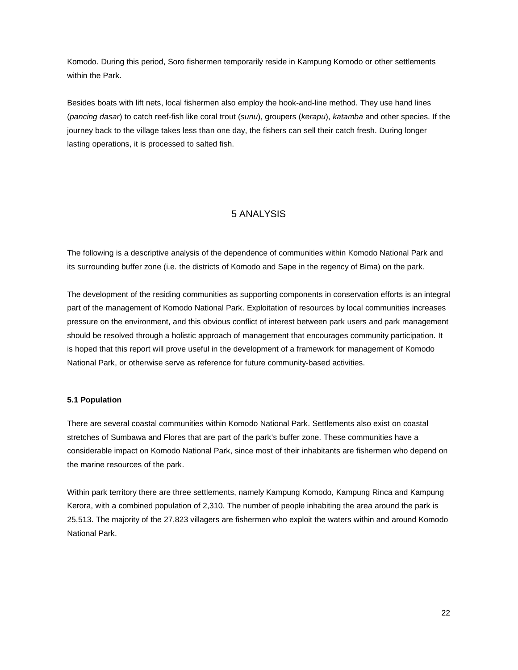Komodo. During this period, Soro fishermen temporarily reside in Kampung Komodo or other settlements within the Park.

Besides boats with lift nets, local fishermen also employ the hook-and-line method. They use hand lines (*pancing dasar*) to catch reef-fish like coral trout (*sunu*), groupers (*kerapu*), *katamba* and other species. If the journey back to the village takes less than one day, the fishers can sell their catch fresh. During longer lasting operations, it is processed to salted fish.

# 5 ANALYSIS

The following is a descriptive analysis of the dependence of communities within Komodo National Park and its surrounding buffer zone (i.e. the districts of Komodo and Sape in the regency of Bima) on the park.

The development of the residing communities as supporting components in conservation efforts is an integral part of the management of Komodo National Park. Exploitation of resources by local communities increases pressure on the environment, and this obvious conflict of interest between park users and park management should be resolved through a holistic approach of management that encourages community participation. It is hoped that this report will prove useful in the development of a framework for management of Komodo National Park, or otherwise serve as reference for future community-based activities.

#### **5.1 Population**

There are several coastal communities within Komodo National Park. Settlements also exist on coastal stretches of Sumbawa and Flores that are part of the park's buffer zone. These communities have a considerable impact on Komodo National Park, since most of their inhabitants are fishermen who depend on the marine resources of the park.

Within park territory there are three settlements, namely Kampung Komodo, Kampung Rinca and Kampung Kerora, with a combined population of 2,310. The number of people inhabiting the area around the park is 25,513. The majority of the 27,823 villagers are fishermen who exploit the waters within and around Komodo National Park.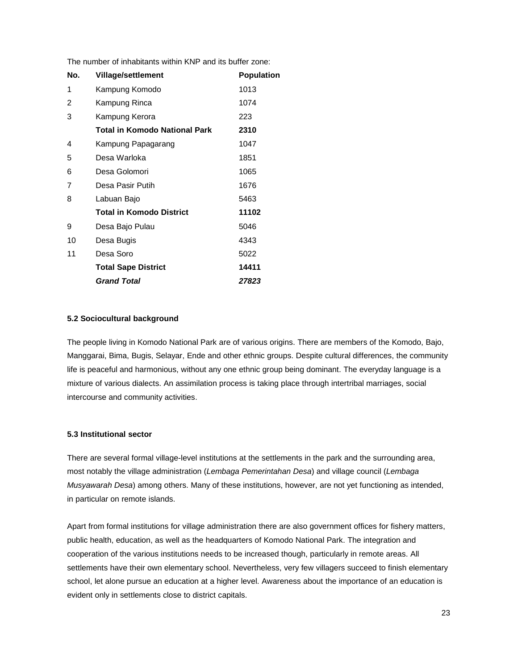The number of inhabitants within KNP and its buffer zone:

| No. | <b>Village/settlement</b>            | <b>Population</b> |
|-----|--------------------------------------|-------------------|
| 1   | Kampung Komodo                       | 1013              |
| 2   | Kampung Rinca                        | 1074              |
| 3   | Kampung Kerora                       | 223               |
|     | <b>Total in Komodo National Park</b> | 2310              |
| 4   | Kampung Papagarang                   | 1047              |
| 5   | Desa Warloka                         | 1851              |
| 6   | Desa Golomori                        | 1065              |
| 7   | Desa Pasir Putih                     | 1676              |
| 8   | Labuan Bajo                          | 5463              |
|     | <b>Total in Komodo District</b>      | 11102             |
| 9   | Desa Bajo Pulau                      | 5046              |
| 10  | Desa Bugis                           | 4343              |
| 11  | Desa Soro                            | 5022              |
|     | <b>Total Sape District</b>           | 14411             |
|     | <b>Grand Total</b>                   | 27823             |

# **5.2 Sociocultural background**

The people living in Komodo National Park are of various origins. There are members of the Komodo, Bajo, Manggarai, Bima, Bugis, Selayar, Ende and other ethnic groups. Despite cultural differences, the community life is peaceful and harmonious, without any one ethnic group being dominant. The everyday language is a mixture of various dialects. An assimilation process is taking place through intertribal marriages, social intercourse and community activities.

# **5.3 Institutional sector**

There are several formal village-level institutions at the settlements in the park and the surrounding area, most notably the village administration (*Lembaga Pemerintahan Desa*) and village council (*Lembaga Musyawarah Desa*) among others. Many of these institutions, however, are not yet functioning as intended, in particular on remote islands.

Apart from formal institutions for village administration there are also government offices for fishery matters, public health, education, as well as the headquarters of Komodo National Park. The integration and cooperation of the various institutions needs to be increased though, particularly in remote areas. All settlements have their own elementary school. Nevertheless, very few villagers succeed to finish elementary school, let alone pursue an education at a higher level. Awareness about the importance of an education is evident only in settlements close to district capitals.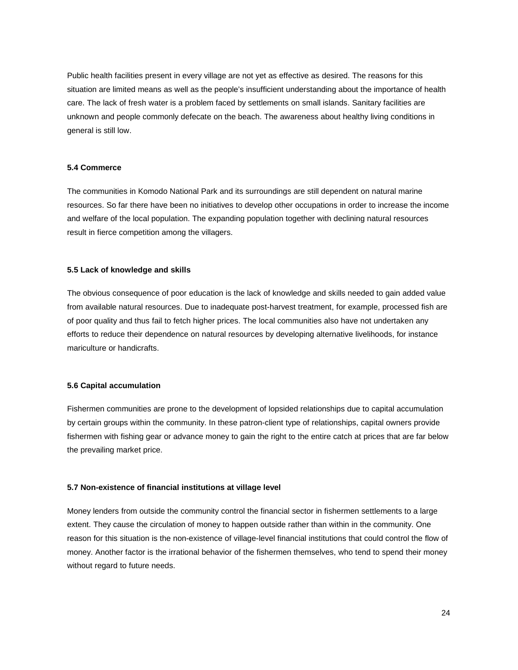Public health facilities present in every village are not yet as effective as desired. The reasons for this situation are limited means as well as the people's insufficient understanding about the importance of health care. The lack of fresh water is a problem faced by settlements on small islands. Sanitary facilities are unknown and people commonly defecate on the beach. The awareness about healthy living conditions in general is still low.

# **5.4 Commerce**

The communities in Komodo National Park and its surroundings are still dependent on natural marine resources. So far there have been no initiatives to develop other occupations in order to increase the income and welfare of the local population. The expanding population together with declining natural resources result in fierce competition among the villagers.

# **5.5 Lack of knowledge and skills**

The obvious consequence of poor education is the lack of knowledge and skills needed to gain added value from available natural resources. Due to inadequate post-harvest treatment, for example, processed fish are of poor quality and thus fail to fetch higher prices. The local communities also have not undertaken any efforts to reduce their dependence on natural resources by developing alternative livelihoods, for instance mariculture or handicrafts.

# **5.6 Capital accumulation**

Fishermen communities are prone to the development of lopsided relationships due to capital accumulation by certain groups within the community. In these patron-client type of relationships, capital owners provide fishermen with fishing gear or advance money to gain the right to the entire catch at prices that are far below the prevailing market price.

# **5.7 Non-existence of financial institutions at village level**

Money lenders from outside the community control the financial sector in fishermen settlements to a large extent. They cause the circulation of money to happen outside rather than within in the community. One reason for this situation is the non-existence of village-level financial institutions that could control the flow of money. Another factor is the irrational behavior of the fishermen themselves, who tend to spend their money without regard to future needs.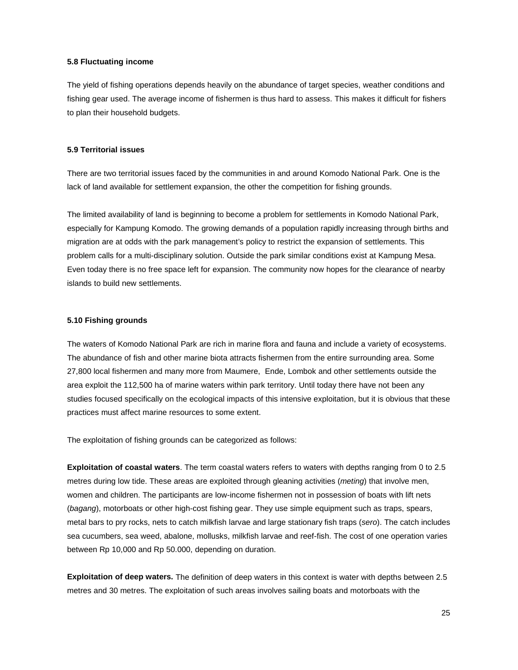#### **5.8 Fluctuating income**

The yield of fishing operations depends heavily on the abundance of target species, weather conditions and fishing gear used. The average income of fishermen is thus hard to assess. This makes it difficult for fishers to plan their household budgets.

#### **5.9 Territorial issues**

There are two territorial issues faced by the communities in and around Komodo National Park. One is the lack of land available for settlement expansion, the other the competition for fishing grounds.

The limited availability of land is beginning to become a problem for settlements in Komodo National Park, especially for Kampung Komodo. The growing demands of a population rapidly increasing through births and migration are at odds with the park management's policy to restrict the expansion of settlements. This problem calls for a multi-disciplinary solution. Outside the park similar conditions exist at Kampung Mesa. Even today there is no free space left for expansion. The community now hopes for the clearance of nearby islands to build new settlements.

#### **5.10 Fishing grounds**

The waters of Komodo National Park are rich in marine flora and fauna and include a variety of ecosystems. The abundance of fish and other marine biota attracts fishermen from the entire surrounding area. Some 27,800 local fishermen and many more from Maumere, Ende, Lombok and other settlements outside the area exploit the 112,500 ha of marine waters within park territory. Until today there have not been any studies focused specifically on the ecological impacts of this intensive exploitation, but it is obvious that these practices must affect marine resources to some extent.

The exploitation of fishing grounds can be categorized as follows:

**Exploitation of coastal waters**. The term coastal waters refers to waters with depths ranging from 0 to 2.5 metres during low tide. These areas are exploited through gleaning activities (*meting*) that involve men, women and children. The participants are low-income fishermen not in possession of boats with lift nets (*bagang*), motorboats or other high-cost fishing gear. They use simple equipment such as traps, spears, metal bars to pry rocks, nets to catch milkfish larvae and large stationary fish traps (*sero*). The catch includes sea cucumbers, sea weed, abalone, mollusks, milkfish larvae and reef-fish. The cost of one operation varies between Rp 10,000 and Rp 50.000, depending on duration.

**Exploitation of deep waters.** The definition of deep waters in this context is water with depths between 2.5 metres and 30 metres. The exploitation of such areas involves sailing boats and motorboats with the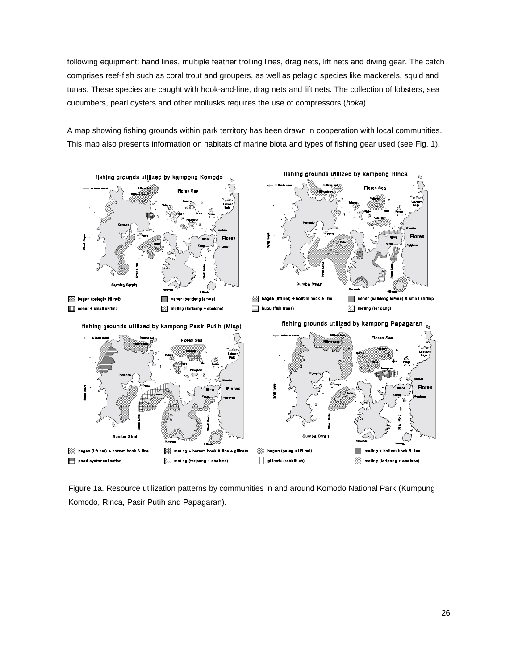following equipment: hand lines, multiple feather trolling lines, drag nets, lift nets and diving gear. The catch comprises reef-fish such as coral trout and groupers, as well as pelagic species like mackerels, squid and tunas. These species are caught with hook-and-line, drag nets and lift nets. The collection of lobsters, sea cucumbers, pearl oysters and other mollusks requires the use of compressors (*hoka*).

A map showing fishing grounds within park territory has been drawn in cooperation with local communities. This map also presents information on habitats of marine biota and types of fishing gear used (see Fig. 1).



Figure 1a. Resource utilization patterns by communities in and around Komodo National Park (Kumpung Komodo, Rinca, Pasir Putih and Papagaran).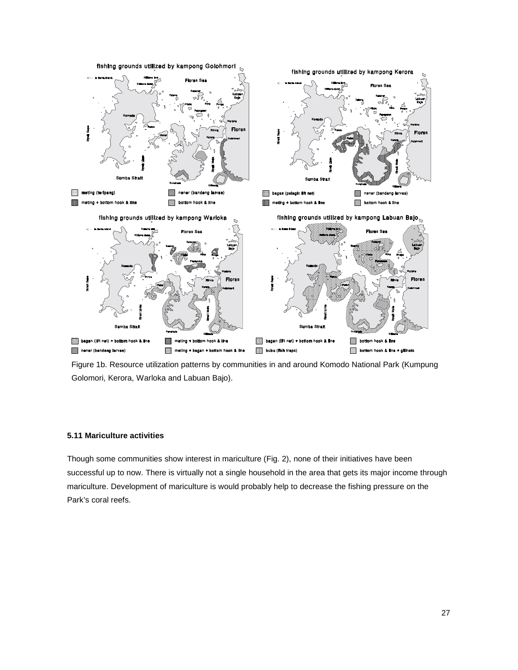

Figure 1b. Resource utilization patterns by communities in and around Komodo National Park (Kumpung Golomori, Kerora, Warloka and Labuan Bajo).

# **5.11 Mariculture activities**

Though some communities show interest in mariculture (Fig. 2), none of their initiatives have been successful up to now. There is virtually not a single household in the area that gets its major income through mariculture. Development of mariculture is would probably help to decrease the fishing pressure on the Park's coral reefs.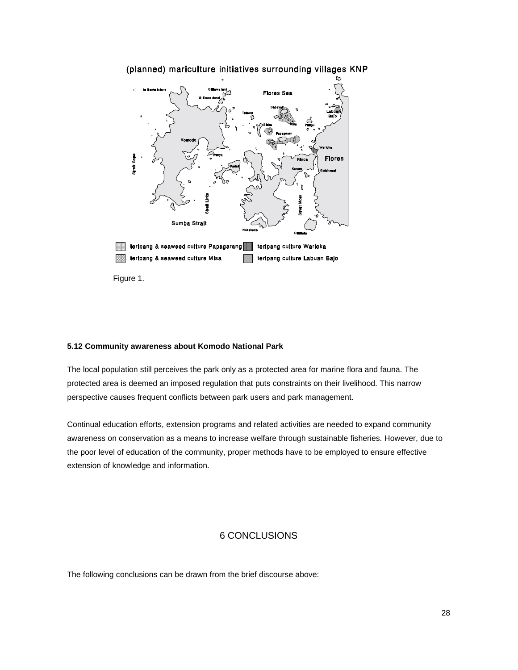

# (planned) mariculture initiatives surrounding villages KNP

# **5.12 Community awareness about Komodo National Park**

The local population still perceives the park only as a protected area for marine flora and fauna. The protected area is deemed an imposed regulation that puts constraints on their livelihood. This narrow perspective causes frequent conflicts between park users and park management.

Continual education efforts, extension programs and related activities are needed to expand community awareness on conservation as a means to increase welfare through sustainable fisheries. However, due to the poor level of education of the community, proper methods have to be employed to ensure effective extension of knowledge and information.

# 6 CONCLUSIONS

The following conclusions can be drawn from the brief discourse above: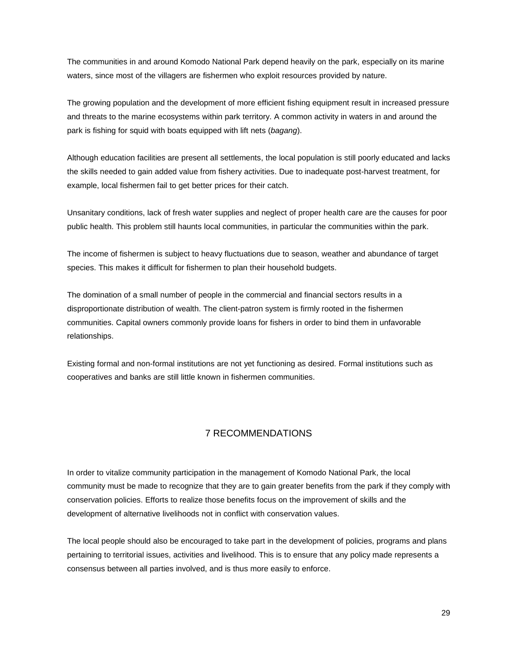The communities in and around Komodo National Park depend heavily on the park, especially on its marine waters, since most of the villagers are fishermen who exploit resources provided by nature.

The growing population and the development of more efficient fishing equipment result in increased pressure and threats to the marine ecosystems within park territory. A common activity in waters in and around the park is fishing for squid with boats equipped with lift nets (*bagang*).

Although education facilities are present all settlements, the local population is still poorly educated and lacks the skills needed to gain added value from fishery activities. Due to inadequate post-harvest treatment, for example, local fishermen fail to get better prices for their catch.

Unsanitary conditions, lack of fresh water supplies and neglect of proper health care are the causes for poor public health. This problem still haunts local communities, in particular the communities within the park.

The income of fishermen is subject to heavy fluctuations due to season, weather and abundance of target species. This makes it difficult for fishermen to plan their household budgets.

The domination of a small number of people in the commercial and financial sectors results in a disproportionate distribution of wealth. The client-patron system is firmly rooted in the fishermen communities. Capital owners commonly provide loans for fishers in order to bind them in unfavorable relationships.

Existing formal and non-formal institutions are not yet functioning as desired. Formal institutions such as cooperatives and banks are still little known in fishermen communities.

# 7 RECOMMENDATIONS

In order to vitalize community participation in the management of Komodo National Park, the local community must be made to recognize that they are to gain greater benefits from the park if they comply with conservation policies. Efforts to realize those benefits focus on the improvement of skills and the development of alternative livelihoods not in conflict with conservation values.

The local people should also be encouraged to take part in the development of policies, programs and plans pertaining to territorial issues, activities and livelihood. This is to ensure that any policy made represents a consensus between all parties involved, and is thus more easily to enforce.